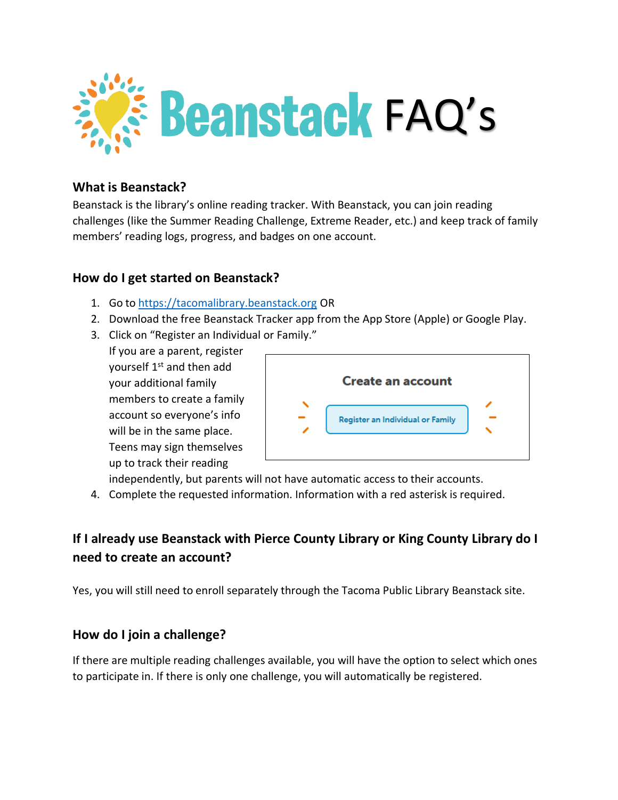

# **What is Beanstack?**

Beanstack is the library's online reading tracker. With Beanstack, you can join reading challenges (like the Summer Reading Challenge, Extreme Reader, etc.) and keep track of family members' reading logs, progress, and badges on one account.

#### **How do I get started on Beanstack?**

- 1. Go to [https://tacomalibrary.beanstack.org](https://tacomalibrary.beanstack.org/) OR
- 2. Download the free Beanstack Tracker app from the App Store (Apple) or Google Play.
- 3. Click on "Register an Individual or Family."

If you are a parent, register yourself 1<sup>st</sup> and then add your additional family members to create a family account so everyone's info will be in the same place. Teens may sign themselves up to track their reading



independently, but parents will not have automatic access to their accounts.

4. Complete the requested information. Information with a red asterisk is required.

# **If I already use Beanstack with Pierce County Library or King County Library do I need to create an account?**

Yes, you will still need to enroll separately through the Tacoma Public Library Beanstack site.

#### **How do I join a challenge?**

If there are multiple reading challenges available, you will have the option to select which ones to participate in. If there is only one challenge, you will automatically be registered.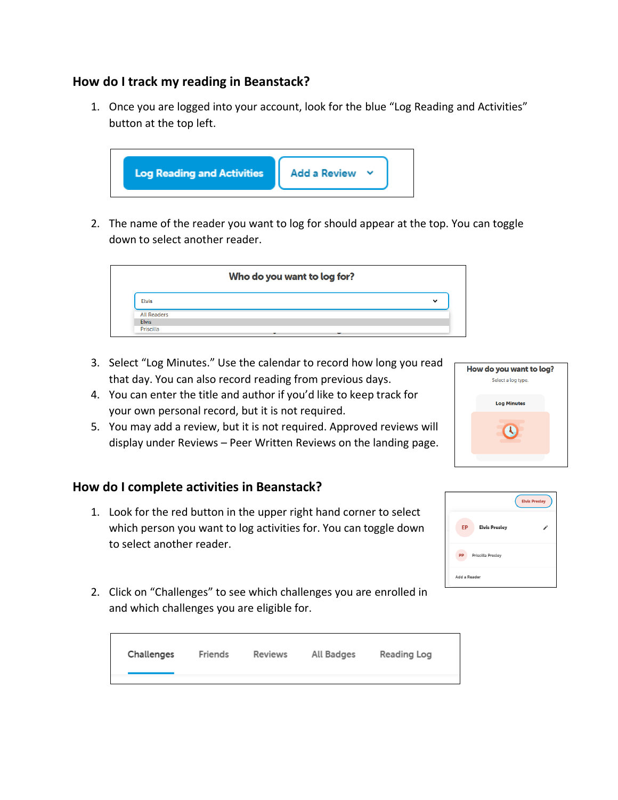# **How do I track my reading in Beanstack?**

1. Once you are logged into your account, look for the blue "Log Reading and Activities" button at the top left.



2. The name of the reader you want to log for should appear at the top. You can toggle down to select another reader.



- 3. Select "Log Minutes." Use the calendar to record how long you read that day. You can also record reading from previous days.
- 4. You can enter the title and author if you'd like to keep track for your own personal record, but it is not required.
- 5. You may add a review, but it is not required. Approved reviews will display under Reviews – Peer Written Reviews on the landing page.

# **How do I complete activities in Beanstack?**

1. Look for the red button in the upper right hand corner to select which person you want to log activities for. You can toggle down to select another reader.



| Challenges | Friends | Reviews | All Badges | Reading Log |  |
|------------|---------|---------|------------|-------------|--|
|            |         |         |            |             |  |



|                                | <b>Elvis Presley</b> |  |  |
|--------------------------------|----------------------|--|--|
| EP<br><b>Elvis Presley</b>     |                      |  |  |
| <b>PP</b><br>Priscilla Presley |                      |  |  |
| Add a Reader                   |                      |  |  |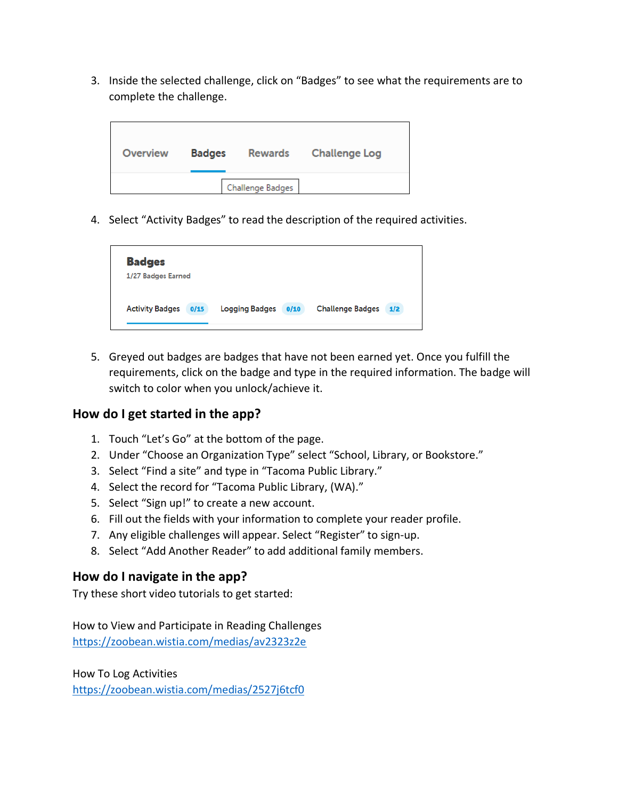3. Inside the selected challenge, click on "Badges" to see what the requirements are to complete the challenge.

| Overview | <b>Badges</b> |                  | Rewards Challenge Log |
|----------|---------------|------------------|-----------------------|
|          |               | Challenge Badges |                       |

4. Select "Activity Badges" to read the description of the required activities.

| <b>Activity Badges</b><br><b>Logging Badges</b><br><b>Challenge Badges</b><br>0/15<br>0/10<br>1/2 | <b>Badges</b>      |  |
|---------------------------------------------------------------------------------------------------|--------------------|--|
|                                                                                                   | 1/27 Badges Earned |  |
|                                                                                                   |                    |  |

5. Greyed out badges are badges that have not been earned yet. Once you fulfill the requirements, click on the badge and type in the required information. The badge will switch to color when you unlock/achieve it.

#### **How do I get started in the app?**

- 1. Touch "Let's Go" at the bottom of the page.
- 2. Under "Choose an Organization Type" select "School, Library, or Bookstore."
- 3. Select "Find a site" and type in "Tacoma Public Library."
- 4. Select the record for "Tacoma Public Library, (WA)."
- 5. Select "Sign up!" to create a new account.
- 6. Fill out the fields with your information to complete your reader profile.
- 7. Any eligible challenges will appear. Select "Register" to sign-up.
- 8. Select "Add Another Reader" to add additional family members.

#### **How do I navigate in the app?**

Try these short video tutorials to get started:

How to View and Participate in Reading Challenges <https://zoobean.wistia.com/medias/av2323z2e>

How To Log Activities

<https://zoobean.wistia.com/medias/2527j6tcf0>